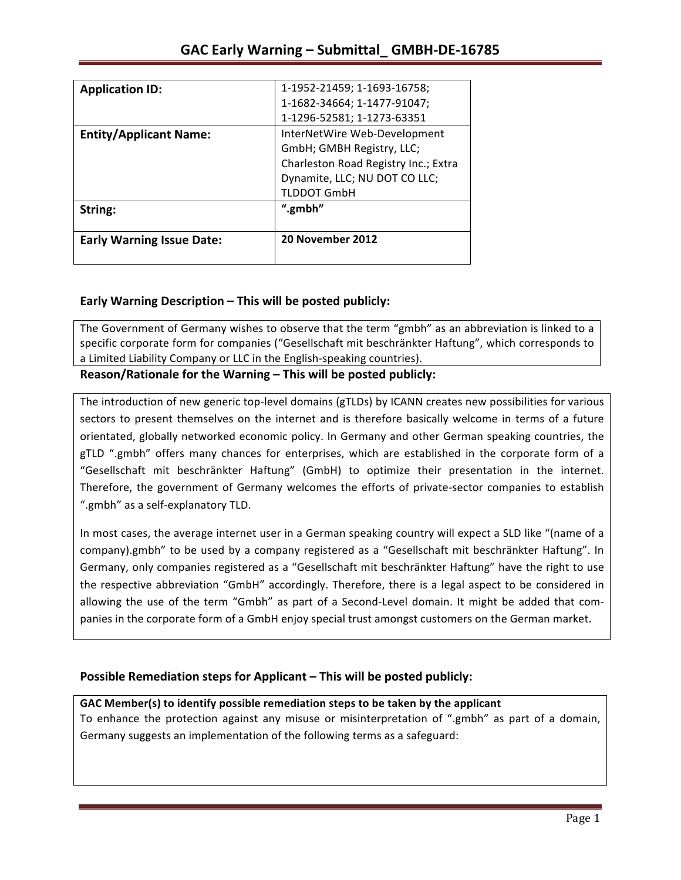| <b>Application ID:</b>           | 1-1952-21459; 1-1693-16758;          |
|----------------------------------|--------------------------------------|
|                                  | 1-1682-34664; 1-1477-91047;          |
|                                  | 1-1296-52581; 1-1273-63351           |
| <b>Entity/Applicant Name:</b>    | InterNetWire Web-Development         |
|                                  | GmbH; GMBH Registry, LLC;            |
|                                  | Charleston Road Registry Inc.; Extra |
|                                  | Dynamite, LLC; NU DOT CO LLC;        |
|                                  | <b>TLDDOT GmbH</b>                   |
| String:                          | ".gmbh"                              |
| <b>Early Warning Issue Date:</b> | 20 November 2012                     |

## **Early Warning Description – This will be posted publicly:**

The Government of Germany wishes to observe that the term "gmbh" as an abbreviation is linked to a specific corporate form for companies ("Gesellschaft mit beschränkter Haftung", which corresponds to a Limited Liability Company or LLC in the English-speaking countries).

Reason/Rationale for the Warning – This will be posted publicly:

The introduction of new generic top-level domains (gTLDs) by ICANN creates new possibilities for various sectors to present themselves on the internet and is therefore basically welcome in terms of a future orientated, globally networked economic policy. In Germany and other German speaking countries, the gTLD ".gmbh" offers many chances for enterprises, which are established in the corporate form of a "Gesellschaft mit beschränkter Haftung" (GmbH) to optimize their presentation in the internet. Therefore, the government of Germany welcomes the efforts of private-sector companies to establish ".gmbh" as a self-explanatory TLD.

In most cases, the average internet user in a German speaking country will expect a SLD like "(name of a company).gmbh" to be used by a company registered as a "Gesellschaft mit beschränkter Haftung". In Germany, only companies registered as a "Gesellschaft mit beschränkter Haftung" have the right to use the respective abbreviation "GmbH" accordingly. Therefore, there is a legal aspect to be considered in allowing the use of the term "Gmbh" as part of a Second-Level domain. It might be added that companies in the corporate form of a GmbH enjoy special trust amongst customers on the German market.

### **Possible Remediation steps for Applicant – This will be posted publicly:**

### GAC Member(s) to identify possible remediation steps to be taken by the applicant

To enhance the protection against any misuse or misinterpretation of ".gmbh" as part of a domain, Germany suggests an implementation of the following terms as a safeguard: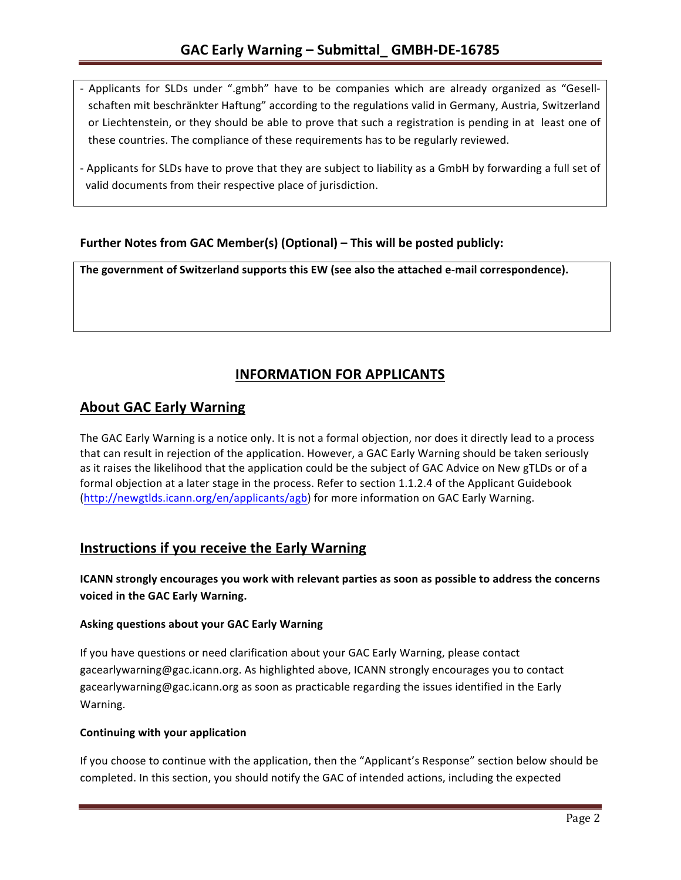- Applicants for SLDs under ".gmbh" have to be companies which are already organized as "Gesellschaften mit beschränkter Haftung" according to the regulations valid in Germany, Austria, Switzerland or Liechtenstein, or they should be able to prove that such a registration is pending in at least one of these countries. The compliance of these requirements has to be regularly reviewed.
- Applicants for SLDs have to prove that they are subject to liability as a GmbH by forwarding a full set of valid documents from their respective place of jurisdiction.

## **Further Notes from GAC Member(s) (Optional)** – This will be posted publicly:

The government of Switzerland supports this EW (see also the attached e-mail correspondence).

# **INFORMATION FOR APPLICANTS**

## **About GAC Early Warning**

The GAC Early Warning is a notice only. It is not a formal objection, nor does it directly lead to a process that can result in rejection of the application. However, a GAC Early Warning should be taken seriously as it raises the likelihood that the application could be the subject of GAC Advice on New gTLDs or of a formal objection at a later stage in the process. Refer to section 1.1.2.4 of the Applicant Guidebook (http://newgtlds.icann.org/en/applicants/agb) for more information on GAC Early Warning.

# **Instructions if you receive the Early Warning**

**ICANN** strongly encourages you work with relevant parties as soon as possible to address the concerns voiced in the GAC Early Warning.

#### **Asking questions about your GAC Early Warning**

If you have questions or need clarification about your GAC Early Warning, please contact gacearlywarning@gac.icann.org. As highlighted above, ICANN strongly encourages you to contact gacearlywarning@gac.icann.org as soon as practicable regarding the issues identified in the Early Warning. 

#### **Continuing with your application**

If you choose to continue with the application, then the "Applicant's Response" section below should be completed. In this section, you should notify the GAC of intended actions, including the expected